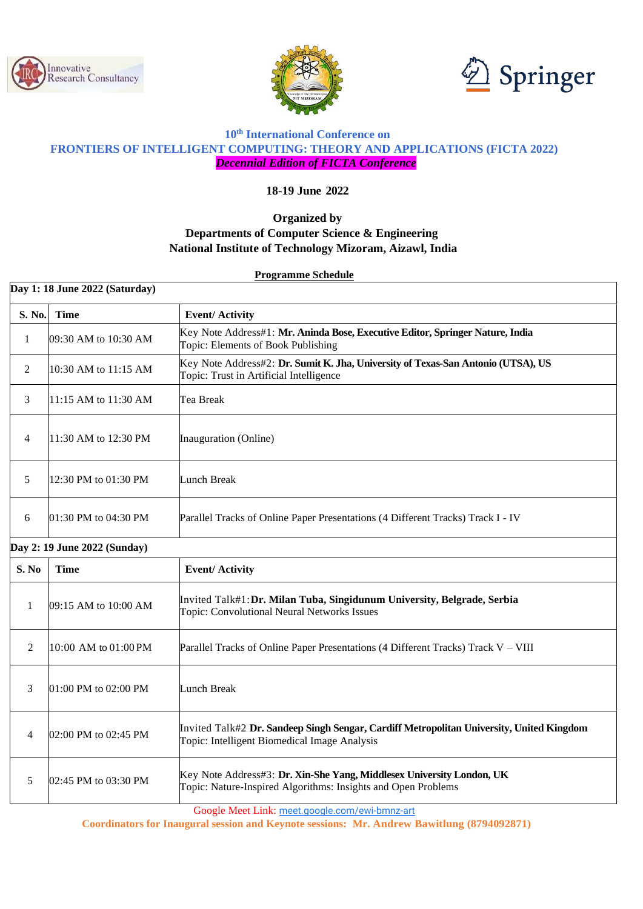





#### **10th International Conference on FRONTIERS OF INTELLIGENT COMPUTING: THEORY AND APPLICATIONS (FICTA 2022)** *Decennial Edition of FICTA Conference*

**18-19 June 2022**

# **Organized by Departments of Computer Science & Engineering**

### **National Institute of Technology Mizoram, Aizawl, India**

**Programme Schedule**

| Day 1: 18 June 2022 (Saturday) |                      |                                                                                                                                          |  |  |
|--------------------------------|----------------------|------------------------------------------------------------------------------------------------------------------------------------------|--|--|
| S. No.                         | <b>Time</b>          | <b>Event/Activity</b>                                                                                                                    |  |  |
| $\mathbf{1}$                   | 09:30 AM to 10:30 AM | Key Note Address#1: Mr. Aninda Bose, Executive Editor, Springer Nature, India<br>Topic: Elements of Book Publishing                      |  |  |
| 2                              | 10:30 AM to 11:15 AM | Key Note Address#2: Dr. Sumit K. Jha, University of Texas-San Antonio (UTSA), US<br>Topic: Trust in Artificial Intelligence              |  |  |
| 3                              | 11:15 AM to 11:30 AM | Tea Break                                                                                                                                |  |  |
| $\overline{4}$                 | 11:30 AM to 12:30 PM | Inauguration (Online)                                                                                                                    |  |  |
| 5                              | 12:30 PM to 01:30 PM | Lunch Break                                                                                                                              |  |  |
| 6                              | 01:30 PM to 04:30 PM | Parallel Tracks of Online Paper Presentations (4 Different Tracks) Track I - IV                                                          |  |  |
| Day 2: 19 June 2022 (Sunday)   |                      |                                                                                                                                          |  |  |
| S. No                          | <b>Time</b>          | <b>Event/Activity</b>                                                                                                                    |  |  |
| $\mathbf{1}$                   | 09:15 AM to 10:00 AM | Invited Talk#1: Dr. Milan Tuba, Singidunum University, Belgrade, Serbia<br>Topic: Convolutional Neural Networks Issues                   |  |  |
| 2                              | 10:00 AM to 01:00 PM | Parallel Tracks of Online Paper Presentations (4 Different Tracks) Track V - VIII                                                        |  |  |
| 3                              | 01:00 PM to 02:00 PM | <b>Lunch Break</b>                                                                                                                       |  |  |
| $\overline{4}$                 | 02:00 PM to 02:45 PM | Invited Talk#2 Dr. Sandeep Singh Sengar, Cardiff Metropolitan University, United Kingdom<br>Topic: Intelligent Biomedical Image Analysis |  |  |
| 5                              | 02:45 PM to 03:30 PM | Key Note Address#3: Dr. Xin-She Yang, Middlesex University London, UK<br>Topic: Nature-Inspired Algorithms: Insights and Open Problems   |  |  |

Google Meet Link: [meet.google.com/ewi-bmnz-art](https://meet.google.com/ewi-bmnz-art?hs=122&authuser=3)

**Coordinators for Inaugural session and Keynote sessions: Mr. Andrew Bawitlung (8794092871)**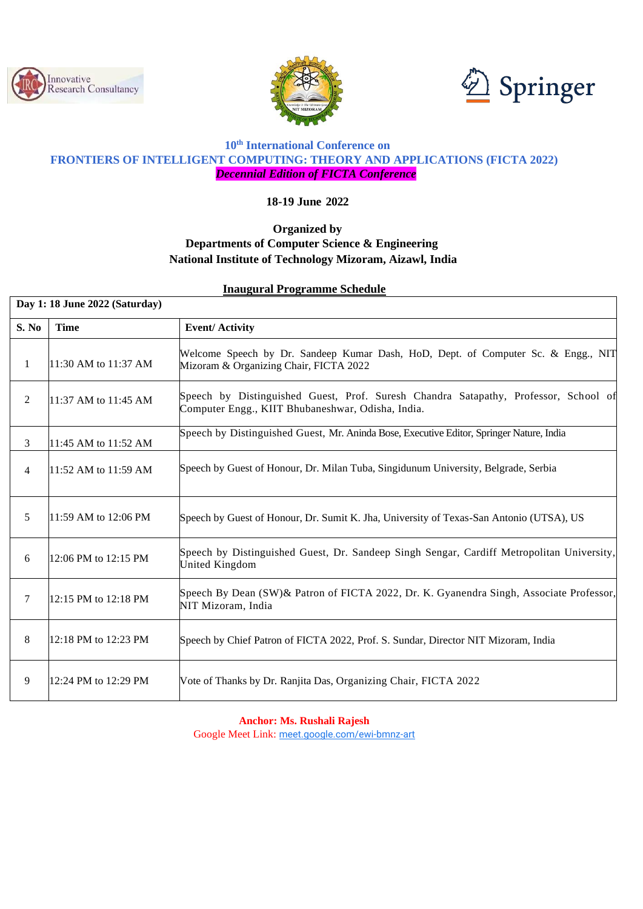





# **10th International Conference on FRONTIERS OF INTELLIGENT COMPUTING: THEORY AND APPLICATIONS (FICTA 2022)** *Decennial Edition of FICTA Conference*

**18-19 June 2022**

## **Organized by Departments of Computer Science & Engineering National Institute of Technology Mizoram, Aizawl, India**

#### **Inaugural Programme Schedule**

| Day 1: 18 June 2022 (Saturday) |                      |                                                                                                                                          |  |
|--------------------------------|----------------------|------------------------------------------------------------------------------------------------------------------------------------------|--|
| S. No                          | <b>Time</b>          | <b>Event/Activity</b>                                                                                                                    |  |
| 1                              | 11:30 AM to 11:37 AM | Welcome Speech by Dr. Sandeep Kumar Dash, HoD, Dept. of Computer Sc. & Engg., NIT<br>Mizoram & Organizing Chair, FICTA 2022              |  |
| 2                              | 11:37 AM to 11:45 AM | Speech by Distinguished Guest, Prof. Suresh Chandra Satapathy, Professor, School of<br>Computer Engg., KIIT Bhubaneshwar, Odisha, India. |  |
| 3                              | 11:45 AM to 11:52 AM | Speech by Distinguished Guest, Mr. Aninda Bose, Executive Editor, Springer Nature, India                                                 |  |
| $\overline{4}$                 | 11:52 AM to 11:59 AM | Speech by Guest of Honour, Dr. Milan Tuba, Singidunum University, Belgrade, Serbia                                                       |  |
| 5                              | 11:59 AM to 12:06 PM | Speech by Guest of Honour, Dr. Sumit K. Jha, University of Texas-San Antonio (UTSA), US                                                  |  |
| 6                              | 12:06 PM to 12:15 PM | Speech by Distinguished Guest, Dr. Sandeep Singh Sengar, Cardiff Metropolitan University,<br>United Kingdom                              |  |
| 7                              | 12:15 PM to 12:18 PM | Speech By Dean (SW) & Patron of FICTA 2022, Dr. K. Gyanendra Singh, Associate Professor,<br>NIT Mizoram, India                           |  |
| 8                              | 12:18 PM to 12:23 PM | Speech by Chief Patron of FICTA 2022, Prof. S. Sundar, Director NIT Mizoram, India                                                       |  |
| 9                              | 12:24 PM to 12:29 PM | Vote of Thanks by Dr. Ranjita Das, Organizing Chair, FICTA 2022                                                                          |  |

**Anchor: Ms. Rushali Rajesh** Google Meet Link: [meet.google.com/ewi-bmnz-art](https://meet.google.com/ewi-bmnz-art?hs=122&authuser=3)